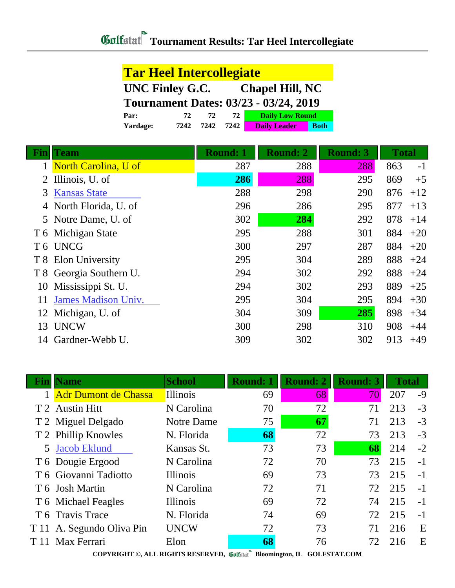| <b>Tar Heel Intercollegiate</b>              |      |      |      |                        |             |  |  |  |
|----------------------------------------------|------|------|------|------------------------|-------------|--|--|--|
| UNC Finley G.C.<br><b>Chapel Hill, NC</b>    |      |      |      |                        |             |  |  |  |
| <b>Tournament Dates: 03/23 - 03/24, 2019</b> |      |      |      |                        |             |  |  |  |
| Par:                                         | 72   | 72   | 72   | <b>Daily Low Round</b> |             |  |  |  |
| Yardage:                                     | 7242 | 7242 | 7242 | <b>Daily Leader</b>    | <b>Both</b> |  |  |  |

| Fın | Team                       | <b>Round: 1</b> | <b>Round: 2</b> | <b>Round: 3</b> | <b>Total</b> |       |
|-----|----------------------------|-----------------|-----------------|-----------------|--------------|-------|
|     | 1 North Carolina, U of     | 287             | 288             | 288             | 863          | $-1$  |
|     | 2 Illinois, U. of          | 286             | 288             | 295             | 869          | $+5$  |
| 3   | <b>Kansas State</b>        | 288             | 298             | 290             | 876          | $+12$ |
|     | 4 North Florida, U. of     | 296             | 286             | 295             | 877          | $+13$ |
|     | 5 Notre Dame, U. of        | 302             | 284             | 292             | 878          | $+14$ |
|     | T 6 Michigan State         | 295             | 288             | 301             | 884          | $+20$ |
|     | T6 UNCG                    | 300             | 297             | 287             | 884          | $+20$ |
|     | T 8 Elon University        | 295             | 304             | 289             | 888          | $+24$ |
|     | T 8 Georgia Southern U.    | 294             | 302             | 292             | 888          | $+24$ |
| 10  | Mississippi St. U.         | 294             | 302             | 293             | 889          | $+25$ |
| 11  | <b>James Madison Univ.</b> | 295             | 304             | 295             | 894          | $+30$ |
|     | 12 Michigan, U. of         | 304             | 309             | 285             | 898          | $+34$ |
| 13  | <b>UNCW</b>                | 300             | 298             | 310             | 908          | $+44$ |
| 14  | Gardner-Webb U.            | 309             | 302             | 302             | 913          | $+49$ |
|     |                            |                 |                 |                 |              |       |

| Fın                                                                                                                                                                                                                                                                                                                                                              | <b>Name</b>                 | <b>School</b>   | <b>Round: 1</b> | <b>Round: 2</b> | <b>Round: 3</b> | <b>Total</b> |      |  |  |
|------------------------------------------------------------------------------------------------------------------------------------------------------------------------------------------------------------------------------------------------------------------------------------------------------------------------------------------------------------------|-----------------------------|-----------------|-----------------|-----------------|-----------------|--------------|------|--|--|
|                                                                                                                                                                                                                                                                                                                                                                  | <b>Adr Dumont de Chassa</b> | <b>Illinois</b> | 69              | 68              | 70              | 207          | $-9$ |  |  |
|                                                                                                                                                                                                                                                                                                                                                                  | T 2 Austin Hitt             | N Carolina      | 70              | 72              | 71              | 213          | $-3$ |  |  |
|                                                                                                                                                                                                                                                                                                                                                                  | T 2 Miguel Delgado          | Notre Dame      | 75              | 67              | 71              | 213          | $-3$ |  |  |
|                                                                                                                                                                                                                                                                                                                                                                  | T 2 Phillip Knowles         | N. Florida      | 68              | 72              | 73              | 213          | $-3$ |  |  |
|                                                                                                                                                                                                                                                                                                                                                                  | 5 Jacob Eklund              | Kansas St.      | 73              | 73              | 68              | 214          | $-2$ |  |  |
|                                                                                                                                                                                                                                                                                                                                                                  | T 6 Dougie Ergood           | N Carolina      | 72              | 70              | 73              | 215          | $-1$ |  |  |
|                                                                                                                                                                                                                                                                                                                                                                  | T 6 Giovanni Tadiotto       | <b>Illinois</b> | 69              | 73              | 73              | 215          | $-1$ |  |  |
|                                                                                                                                                                                                                                                                                                                                                                  | T 6 Josh Martin             | N Carolina      | 72              | 71              | 72              | 215          | $-1$ |  |  |
|                                                                                                                                                                                                                                                                                                                                                                  | T 6 Michael Feagles         | Illinois        | 69              | 72              | 74              | 215          | $-1$ |  |  |
|                                                                                                                                                                                                                                                                                                                                                                  | T 6 Travis Trace            | N. Florida      | 74              | 69              | 72              | 215          | $-1$ |  |  |
|                                                                                                                                                                                                                                                                                                                                                                  | T 11 A. Segundo Oliva Pin   | <b>UNCW</b>     | 72              | 73              | 71              | 216          | E    |  |  |
| T 11                                                                                                                                                                                                                                                                                                                                                             | Max Ferrari                 | Elon            | 68              | 76              | 72              | 216          | E    |  |  |
| $COMINICUTR \otimes \Lambda T$ I DICUTE DESERVED $\mathscr{M}$ , $\mathscr{M}$ , $\mathscr{M}$ , $\mathscr{M}$ , $\mathscr{M}$ , $\mathscr{M}$ , $\mathscr{M}$ , $\mathscr{M}$ , $\mathscr{M}$ , $\mathscr{M}$ , $\mathscr{M}$ , $\mathscr{M}$ , $\mathscr{M}$ , $\mathscr{M}$ , $\mathscr{M}$ , $\mathscr{M}$ , $\mathscr{M}$ , $\mathscr{M}$ , $\mathscr{M}$ , |                             |                 |                 |                 |                 |              |      |  |  |

**COPYRIGHT ©, ALL RIGHTS RESERVED, Bloomington, IL GOLFSTAT.COM**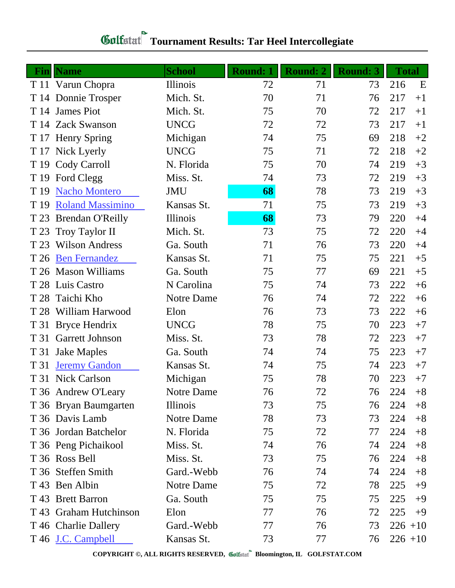## **Gulfatat Tournament Results: Tar Heel Intercollegiate**

|      | <b>Fin</b> Name         | <b>School</b> | <b>Round: 1</b> | <b>Round: 2</b> | <b>Round: 3</b> | <b>Total</b> |      |
|------|-------------------------|---------------|-----------------|-----------------|-----------------|--------------|------|
|      | T 11 Varun Chopra       | Illinois      | 72              | 71              | 73              | 216          | E    |
|      | T 14 Donnie Trosper     | Mich. St.     | 70              | 71              | 76              | 217          | $+1$ |
|      | T 14 James Piot         | Mich. St.     | 75              | 70              | 72              | 217          | $+1$ |
|      | T 14 Zack Swanson       | <b>UNCG</b>   | 72              | 72              | 73              | 217          | $+1$ |
|      | T 17 Henry Spring       | Michigan      | 74              | 75              | 69              | 218          | $+2$ |
|      | T 17 Nick Lyerly        | <b>UNCG</b>   | 75              | 71              | 72              | 218          | $+2$ |
|      | T 19 Cody Carroll       | N. Florida    | 75              | 70              | 74              | 219          | $+3$ |
| T 19 | Ford Clegg              | Miss. St.     | 74              | 73              | 72              | 219          | $+3$ |
| T 19 | <b>Nacho Montero</b>    | <b>JMU</b>    | 68              | 78              | 73              | 219          | $+3$ |
| T 19 | <b>Roland Massimino</b> | Kansas St.    | 71              | 75              | 73              | 219          | $+3$ |
| T 23 | <b>Brendan O'Reilly</b> | Illinois      | 68              | 73              | 79              | 220          | $+4$ |
| T 23 | Troy Taylor II          | Mich. St.     | 73              | 75              | 72              | 220          | $+4$ |
| T 23 | <b>Wilson Andress</b>   | Ga. South     | 71              | 76              | 73              | 220          | $+4$ |
| T 26 | <b>Ben Fernandez</b>    | Kansas St.    | 71              | 75              | 75              | 221          | $+5$ |
|      | T 26 Mason Williams     | Ga. South     | 75              | 77              | 69              | 221          | $+5$ |
|      | T 28 Luis Castro        | N Carolina    | 75              | 74              | 73              | 222          | $+6$ |
| T 28 | Taichi Kho              | Notre Dame    | 76              | 74              | 72              | 222          | $+6$ |
| T 28 | William Harwood         | Elon          | 76              | 73              | 73              | 222          | $+6$ |
| T 31 | <b>Bryce Hendrix</b>    | <b>UNCG</b>   | 78              | 75              | 70              | 223          | $+7$ |
| T 31 | <b>Garrett Johnson</b>  | Miss. St.     | 73              | 78              | 72              | 223          | $+7$ |
| T 31 | <b>Jake Maples</b>      | Ga. South     | 74              | 74              | 75              | 223          | $+7$ |
| T 31 | <b>Jeremy Gandon</b>    | Kansas St.    | 74              | 75              | 74              | 223          | $+7$ |
|      | T 31 Nick Carlson       | Michigan      | 75              | 78              | 70              | 223          | $+7$ |
|      | T 36 Andrew O'Leary     | Notre Dame    | 76              | 72              | 76              | 224          | $+8$ |
|      | T 36 Bryan Baumgarten   | Illinois      | 73              | 75              | 76              | 224          | $+8$ |
|      | T 36 Davis Lamb         | Notre Dame    | 78              | 73              | 73              | 224          | $+8$ |
|      | T 36 Jordan Batchelor   | N. Florida    | 75              | 72              | 77              | 224          | $+8$ |
|      | T 36 Peng Pichaikool    | Miss. St.     | 74              | 76              | 74              | 224          | $+8$ |
|      | T 36 Ross Bell          | Miss. St.     | 73              | 75              | 76              | 224          | $+8$ |
|      | T 36 Steffen Smith      | Gard.-Webb    | 76              | 74              | 74              | 224          | $+8$ |
|      | T 43 Ben Albin          | Notre Dame    | 75              | 72              | 78              | 225          | $+9$ |
|      | T 43 Brett Barron       | Ga. South     | 75              | 75              | 75              | 225          | $+9$ |
|      | T 43 Graham Hutchinson  | Elon          | 77              | 76              | 72              | 225          | $+9$ |
|      | T 46 Charlie Dallery    | Gard.-Webb    | 77              | 76              | 73              | $226 + 10$   |      |
|      | T 46 J.C. Campbell      | Kansas St.    | 73              | 77              | 76              | $226 + 10$   |      |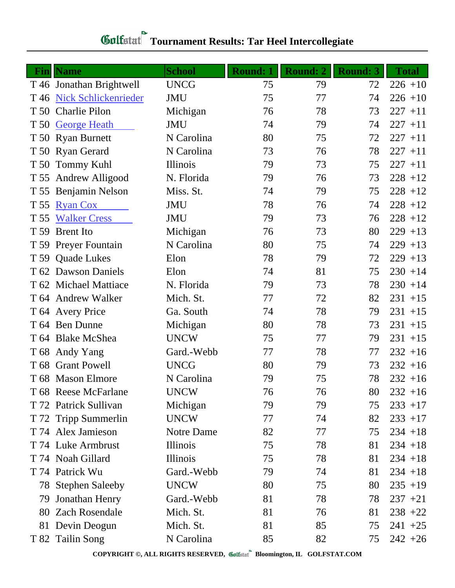| Gulfstat Tournament Results: Tar Heel Intercollegiate |
|-------------------------------------------------------|

|      | <b>Fin</b> Name           | <b>School</b> | <b>Round: 1</b> | <b>Round: 2</b> | <b>Round: 3</b> | <b>Total</b> |
|------|---------------------------|---------------|-----------------|-----------------|-----------------|--------------|
|      | T 46 Jonathan Brightwell  | <b>UNCG</b>   | 75              | 79              | 72              | $226 + 10$   |
|      | T 46 Nick Schlickenrieder | <b>JMU</b>    | 75              | 77              | 74              | $226 + 10$   |
|      | T 50 Charlie Pilon        | Michigan      | 76              | 78              | 73              | $227 + 11$   |
| T 50 | <b>George Heath</b>       | <b>JMU</b>    | 74              | 79              | 74              | $227 + 11$   |
|      | T 50 Ryan Burnett         | N Carolina    | 80              | 75              | 72              | $227 + 11$   |
|      | T 50 Ryan Gerard          | N Carolina    | 73              | 76              | 78              | $227 + 11$   |
|      | T 50 Tommy Kuhl           | Illinois      | 79              | 73              | 75              | $227 + 11$   |
| T 55 | <b>Andrew Alligood</b>    | N. Florida    | 79              | 76              | 73              | $228 + 12$   |
|      | T 55 Benjamin Nelson      | Miss. St.     | 74              | 79              | 75              | $228 + 12$   |
| T 55 | <b>Ryan Cox</b>           | <b>JMU</b>    | 78              | 76              | 74              | $228 + 12$   |
| T 55 | <b>Walker Cress</b>       | <b>JMU</b>    | 79              | 73              | 76              | $228 + 12$   |
| T 59 | <b>Brent</b> Ito          | Michigan      | 76              | 73              | 80              | $229 + 13$   |
|      | T 59 Preyer Fountain      | N Carolina    | 80              | 75              | 74              | $229 + 13$   |
|      | T 59 Quade Lukes          | Elon          | 78              | 79              | 72              | $229 + 13$   |
|      | T 62 Dawson Daniels       | Elon          | 74              | 81              | 75              | $230 + 14$   |
|      | T 62 Michael Mattiace     | N. Florida    | 79              | 73              | 78              | $230 + 14$   |
|      | T 64 Andrew Walker        | Mich. St.     | 77              | 72              | 82              | $231 + 15$   |
|      | T 64 Avery Price          | Ga. South     | 74              | 78              | 79              | $231 + 15$   |
|      | T 64 Ben Dunne            | Michigan      | 80              | 78              | 73              | $231 + 15$   |
|      | T 64 Blake McShea         | <b>UNCW</b>   | 75              | 77              | 79              | $231 + 15$   |
|      | T 68 Andy Yang            | Gard.-Webb    | 77              | 78              | 77              | $232 + 16$   |
|      | T 68 Grant Powell         | <b>UNCG</b>   | 80              | 79              | 73              | $232 + 16$   |
|      | T 68 Mason Elmore         | N Carolina    | 79              | 75              | 78              | $232 + 16$   |
|      | T 68 Reese McFarlane      | <b>UNCW</b>   | 76              | 76              | 80              | $232 + 16$   |
|      | T 72 Patrick Sullivan     | Michigan      | 79              | 79              | 75              | $233 + 17$   |
|      | T 72 Tripp Summerlin      | <b>UNCW</b>   | 77              | 74              | 82              | $233 + 17$   |
|      | T 74 Alex Jamieson        | Notre Dame    | 82              | 77              | 75              | $234 + 18$   |
|      | T 74 Luke Armbrust        | Illinois      | 75              | 78              | 81              | $234 + 18$   |
|      | T 74 Noah Gillard         | Illinois      | 75              | 78              | 81              | $234 + 18$   |
|      | T 74 Patrick Wu           | Gard.-Webb    | 79              | 74              | 81              | $234 + 18$   |
|      | 78 Stephen Saleeby        | <b>UNCW</b>   | 80              | 75              | 80              | $235 + 19$   |
| 79   | Jonathan Henry            | Gard.-Webb    | 81              | 78              | 78              | $237 + 21$   |
|      | 80 Zach Rosendale         | Mich. St.     | 81              | 76              | 81              | $238 + 22$   |
|      | 81 Devin Deogun           | Mich. St.     | 81              | 85              | 75              | $241 + 25$   |
|      | T 82 Tailin Song          | N Carolina    | 85              | 82              | 75              | $242 + 26$   |